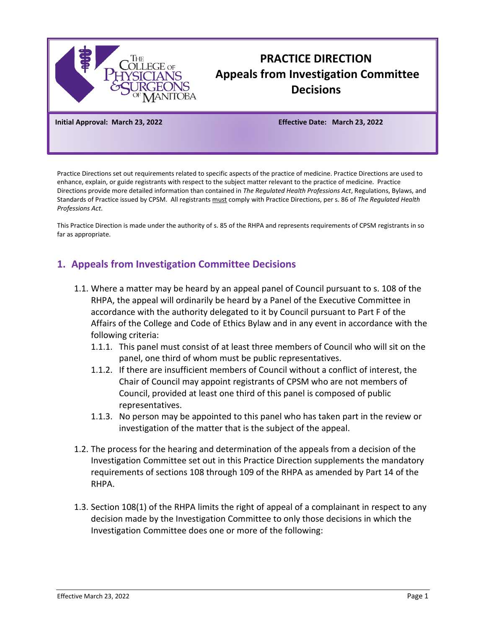

# **PRACTICE DIRECTION Appeals from Investigation Committee Decisions**

**Initial Approval: March 23, 2022 Effective Date: March 23, 2022**

Practice Directions set out requirements related to specific aspects of the practice of medicine. Practice Directions are used to enhance, explain, or guide registrants with respect to the subject matter relevant to the practice of medicine. Practice Directions provide more detailed information than contained in *The Regulated Health Professions Act*, Regulations, Bylaws, and Standards of Practice issued by CPSM. All registrants must comply with Practice Directions, per s. 86 of *The Regulated Health Professions Act*.

This Practice Direction is made under the authority of s. 85 of the RHPA and represents requirements of CPSM registrants in so far as appropriate.

## **1. Appeals from Investigation Committee Decisions**

- 1.1. Where a matter may be heard by an appeal panel of Council pursuant to s. 108 of the RHPA, the appeal will ordinarily be heard by a Panel of the Executive Committee in accordance with the authority delegated to it by Council pursuant to Part F of the Affairs of the College and Code of Ethics Bylaw and in any event in accordance with the following criteria:
	- 1.1.1. This panel must consist of at least three members of Council who will sit on the panel, one third of whom must be public representatives.
	- 1.1.2. If there are insufficient members of Council without a conflict of interest, the Chair of Council may appoint registrants of CPSM who are not members of Council, provided at least one third of this panel is composed of public representatives.
	- 1.1.3. No person may be appointed to this panel who has taken part in the review or investigation of the matter that is the subject of the appeal.
- 1.2. The process for the hearing and determination of the appeals from a decision of the Investigation Committee set out in this Practice Direction supplements the mandatory requirements of sections 108 through 109 of the RHPA as amended by Part 14 of the RHPA.
- 1.3. Section 108(1) of the RHPA limits the right of appeal of a complainant in respect to any decision made by the Investigation Committee to only those decisions in which the Investigation Committee does one or more of the following: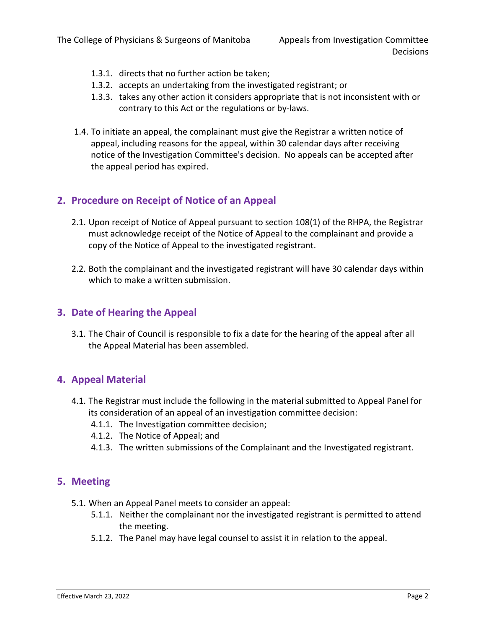- 1.3.1. directs that no further action be taken;
- 1.3.2. accepts an undertaking from the investigated registrant; or
- 1.3.3. takes any other action it considers appropriate that is not inconsistent with or contrary to this Act or the regulations or by-laws.
- 1.4. To initiate an appeal, the complainant must give the Registrar a written notice of appeal, including reasons for the appeal, within 30 calendar days after receiving notice of the Investigation Committee's decision. No appeals can be accepted after the appeal period has expired.

## **2. Procedure on Receipt of Notice of an Appeal**

- 2.1. Upon receipt of Notice of Appeal pursuant to section 108(1) of the RHPA, the Registrar must acknowledge receipt of the Notice of Appeal to the complainant and provide a copy of the Notice of Appeal to the investigated registrant.
- 2.2. Both the complainant and the investigated registrant will have 30 calendar days within which to make a written submission.

#### **3. Date of Hearing the Appeal**

3.1. The Chair of Council is responsible to fix a date for the hearing of the appeal after all the Appeal Material has been assembled.

### **4. Appeal Material**

- 4.1. The Registrar must include the following in the material submitted to Appeal Panel for its consideration of an appeal of an investigation committee decision:
	- 4.1.1. The Investigation committee decision;
	- 4.1.2. The Notice of Appeal; and
	- 4.1.3. The written submissions of the Complainant and the Investigated registrant.

#### **5. Meeting**

- 5.1. When an Appeal Panel meets to consider an appeal:
	- 5.1.1. Neither the complainant nor the investigated registrant is permitted to attend the meeting.
	- 5.1.2. The Panel may have legal counsel to assist it in relation to the appeal.